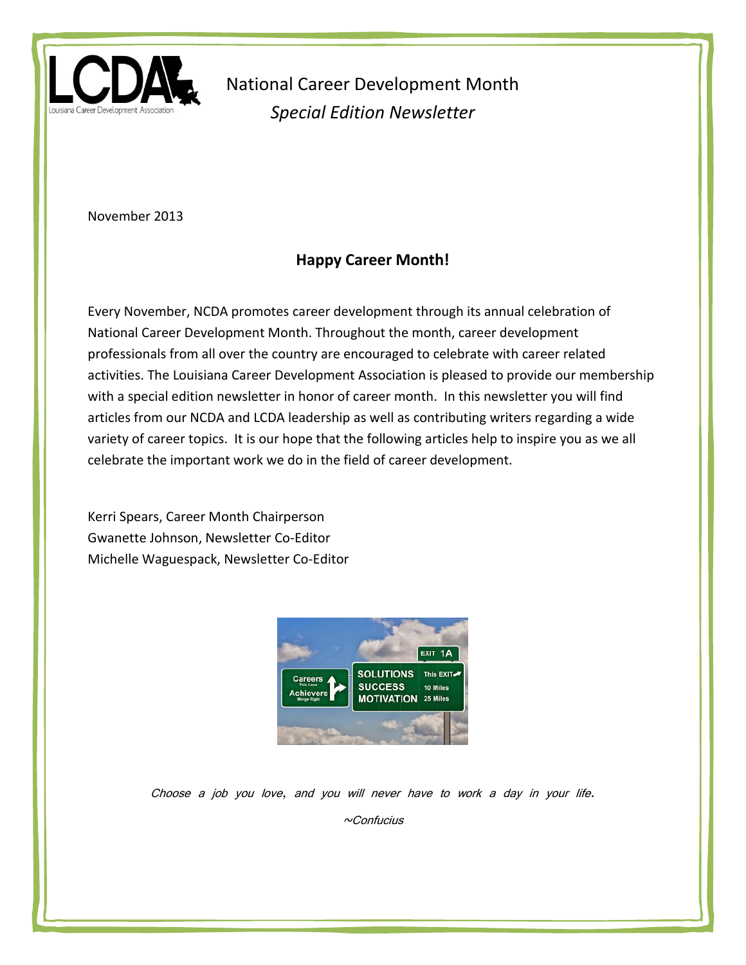

November 2013

## **Happy Career Month!**

Every November, NCDA promotes career development through its annual celebration of National Career Development Month. Throughout the month, career development professionals from all over the country are encouraged to celebrate with career related activities. The Louisiana Career Development Association is pleased to provide our membership with a special edition newsletter in honor of career month. In this newsletter you will find articles from our NCDA and LCDA leadership as well as contributing writers regarding a wide variety of career topics. It is our hope that the following articles help to inspire you as we all celebrate the important work we do in the field of career development.

Kerri Spears, Career Month Chairperson Gwanette Johnson, Newsletter Co-Editor Michelle Waguespack, Newsletter Co-Editor



Choose a job you love, and you will never have to work a day in your life.

 $~\sim$ Confucius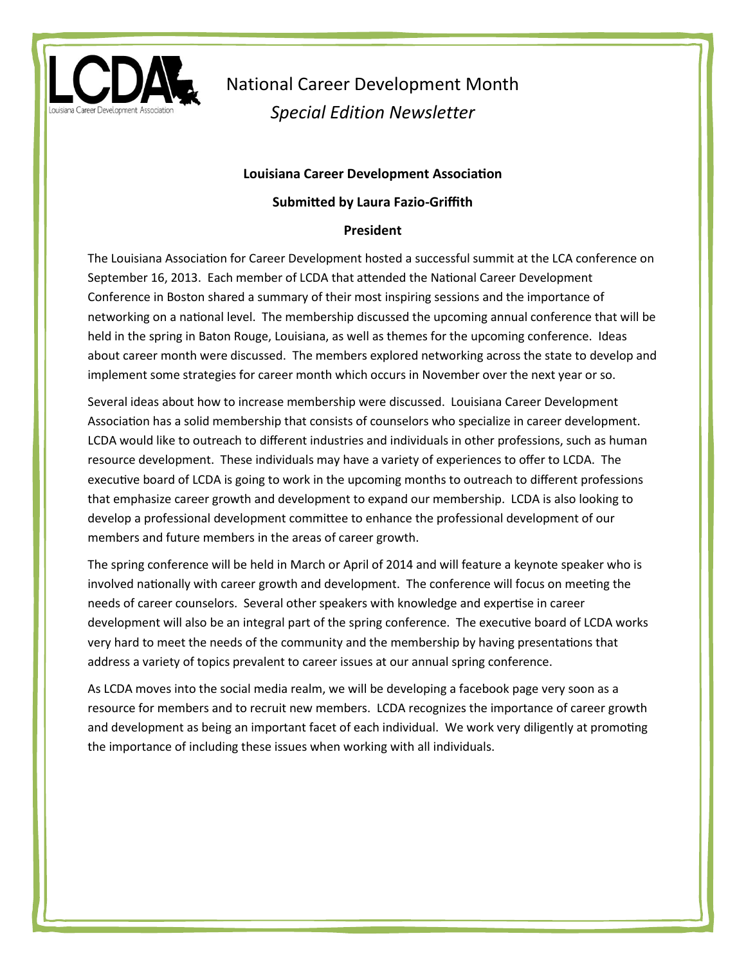

#### **Louisiana Career Development Association**

#### **Submitted by Laura Fazio-Griffith**

#### **President**

The Louisiana Association for Career Development hosted a successful summit at the LCA conference on September 16, 2013. Each member of LCDA that attended the National Career Development Conference in Boston shared a summary of their most inspiring sessions and the importance of networking on a national level. The membership discussed the upcoming annual conference that will be held in the spring in Baton Rouge, Louisiana, as well as themes for the upcoming conference. Ideas about career month were discussed. The members explored networking across the state to develop and implement some strategies for career month which occurs in November over the next year or so.

Several ideas about how to increase membership were discussed. Louisiana Career Development Association has a solid membership that consists of counselors who specialize in career development. LCDA would like to outreach to different industries and individuals in other professions, such as human resource development. These individuals may have a variety of experiences to offer to LCDA. The executive board of LCDA is going to work in the upcoming months to outreach to different professions that emphasize career growth and development to expand our membership. LCDA is also looking to develop a professional development committee to enhance the professional development of our members and future members in the areas of career growth.

The spring conference will be held in March or April of 2014 and will feature a keynote speaker who is involved nationally with career growth and development. The conference will focus on meeting the needs of career counselors. Several other speakers with knowledge and expertise in career development will also be an integral part of the spring conference. The executive board of LCDA works very hard to meet the needs of the community and the membership by having presentations that address a variety of topics prevalent to career issues at our annual spring conference.

As LCDA moves into the social media realm, we will be developing a facebook page very soon as a resource for members and to recruit new members. LCDA recognizes the importance of career growth and development as being an important facet of each individual. We work very diligently at promoting the importance of including these issues when working with all individuals.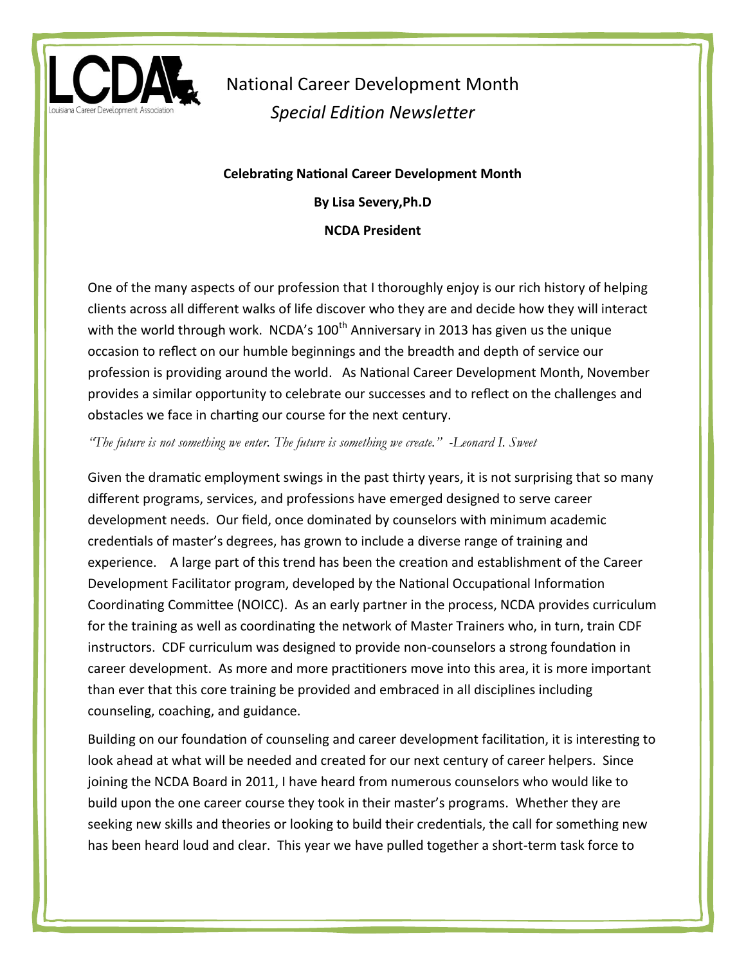

**Celebrating National Career Development Month By Lisa Severy,Ph.D NCDA President**

One of the many aspects of our profession that I thoroughly enjoy is our rich history of helping clients across all different walks of life discover who they are and decide how they will interact with the world through work. NCDA's  $100<sup>th</sup>$  Anniversary in 2013 has given us the unique occasion to reflect on our humble beginnings and the breadth and depth of service our profession is providing around the world. As National Career Development Month, November provides a similar opportunity to celebrate our successes and to reflect on the challenges and obstacles we face in charting our course for the next century.

*"The future is not something we enter. The future is something we create." -Leonard I. Sweet* 

Given the dramatic employment swings in the past thirty years, it is not surprising that so many different programs, services, and professions have emerged designed to serve career development needs. Our field, once dominated by counselors with minimum academic credentials of master's degrees, has grown to include a diverse range of training and experience. A large part of this trend has been the creation and establishment of the Career Development Facilitator program, developed by the National Occupational Information Coordinating Committee (NOICC). As an early partner in the process, NCDA provides curriculum for the training as well as coordinating the network of Master Trainers who, in turn, train CDF instructors. CDF curriculum was designed to provide non-counselors a strong foundation in career development. As more and more practitioners move into this area, it is more important than ever that this core training be provided and embraced in all disciplines including counseling, coaching, and guidance.

Building on our foundation of counseling and career development facilitation, it is interesting to look ahead at what will be needed and created for our next century of career helpers. Since joining the NCDA Board in 2011, I have heard from numerous counselors who would like to build upon the one career course they took in their master's programs. Whether they are seeking new skills and theories or looking to build their credentials, the call for something new has been heard loud and clear. This year we have pulled together a short-term task force to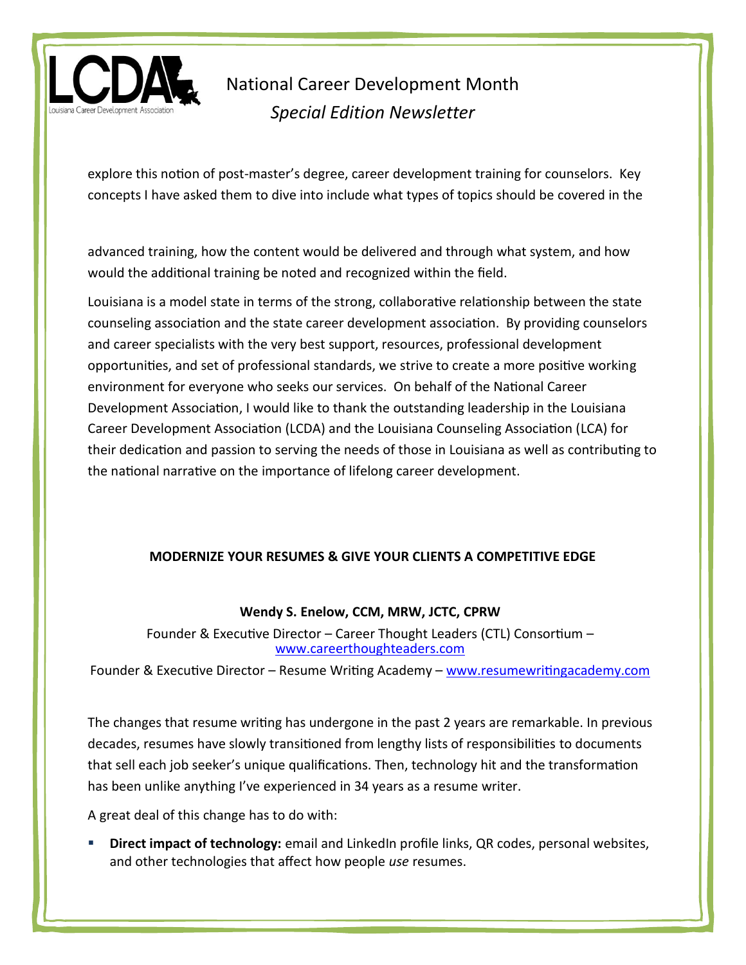

explore this notion of post-master's degree, career development training for counselors. Key concepts I have asked them to dive into include what types of topics should be covered in the

advanced training, how the content would be delivered and through what system, and how would the additional training be noted and recognized within the field.

Louisiana is a model state in terms of the strong, collaborative relationship between the state counseling association and the state career development association. By providing counselors and career specialists with the very best support, resources, professional development opportunities, and set of professional standards, we strive to create a more positive working environment for everyone who seeks our services. On behalf of the National Career Development Association, I would like to thank the outstanding leadership in the Louisiana Career Development Association (LCDA) and the Louisiana Counseling Association (LCA) for their dedication and passion to serving the needs of those in Louisiana as well as contributing to the national narrative on the importance of lifelong career development.

### **MODERNIZE YOUR RESUMES & GIVE YOUR CLIENTS A COMPETITIVE EDGE**

### **Wendy S. Enelow, CCM, MRW, JCTC, CPRW**

Founder & Executive Director – Career Thought Leaders (CTL) Consortium – [www.careerthoughteaders.com](http://www.careerthoughteaders.com/)

Founder & Executive Director – Resume Writing Academy – [www.resumewritingacademy.com](http://www.resumewritingacademy.com/)

The changes that resume writing has undergone in the past 2 years are remarkable. In previous decades, resumes have slowly transitioned from lengthy lists of responsibilities to documents that sell each job seeker's unique qualifications. Then, technology hit and the transformation has been unlike anything I've experienced in 34 years as a resume writer.

A great deal of this change has to do with:

 **Direct impact of technology:** email and LinkedIn profile links, QR codes, personal websites, and other technologies that affect how people *use* resumes.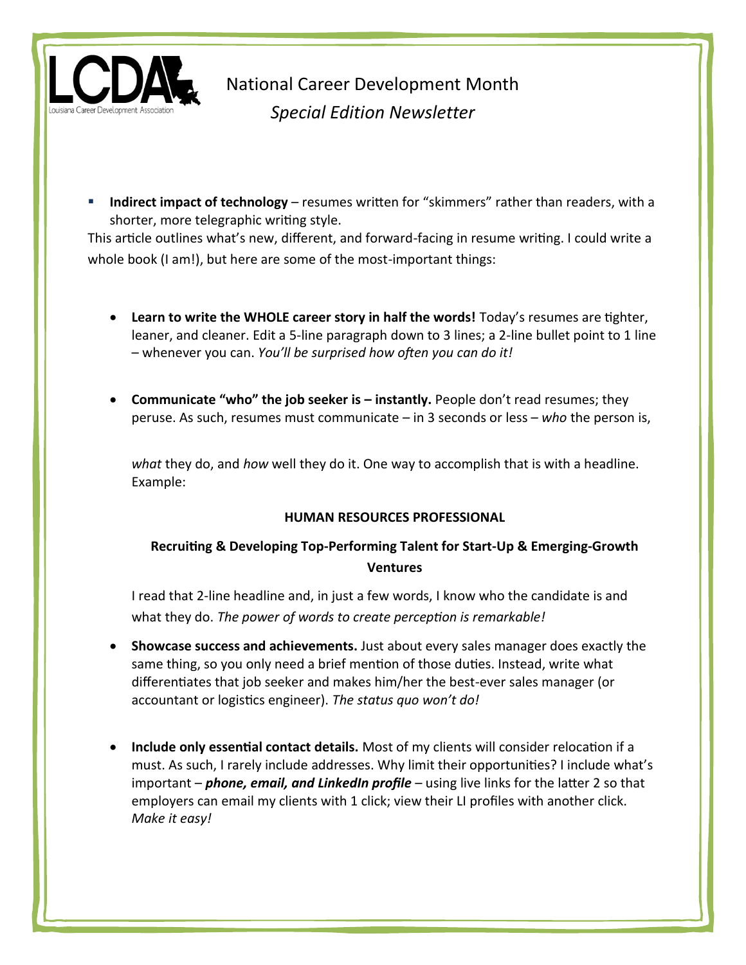

 **Indirect impact of technology** – resumes written for "skimmers" rather than readers, with a shorter, more telegraphic writing style.

This article outlines what's new, different, and forward-facing in resume writing. I could write a whole book (I am!), but here are some of the most-important things:

- **Learn to write the WHOLE career story in half the words!** Today's resumes are tighter, leaner, and cleaner. Edit a 5-line paragraph down to 3 lines; a 2-line bullet point to 1 line – whenever you can. *You'll be surprised how often you can do it!*
- **Communicate "who" the job seeker is – instantly.** People don't read resumes; they peruse. As such, resumes must communicate – in 3 seconds or less – *who* the person is,

*what* they do, and *how* well they do it. One way to accomplish that is with a headline. Example:

### **HUMAN RESOURCES PROFESSIONAL**

## **Recruiting & Developing Top-Performing Talent for Start-Up & Emerging-Growth Ventures**

I read that 2-line headline and, in just a few words, I know who the candidate is and what they do. *The power of words to create perception is remarkable!*

- **Showcase success and achievements.** Just about every sales manager does exactly the same thing, so you only need a brief mention of those duties. Instead, write what differentiates that job seeker and makes him/her the best-ever sales manager (or accountant or logistics engineer). *The status quo won't do!*
- **Include only essential contact details.** Most of my clients will consider relocation if a must. As such, I rarely include addresses. Why limit their opportunities? I include what's important – *phone, email, and LinkedIn profile* – using live links for the latter 2 so that employers can email my clients with 1 click; view their LI profiles with another click. *Make it easy!*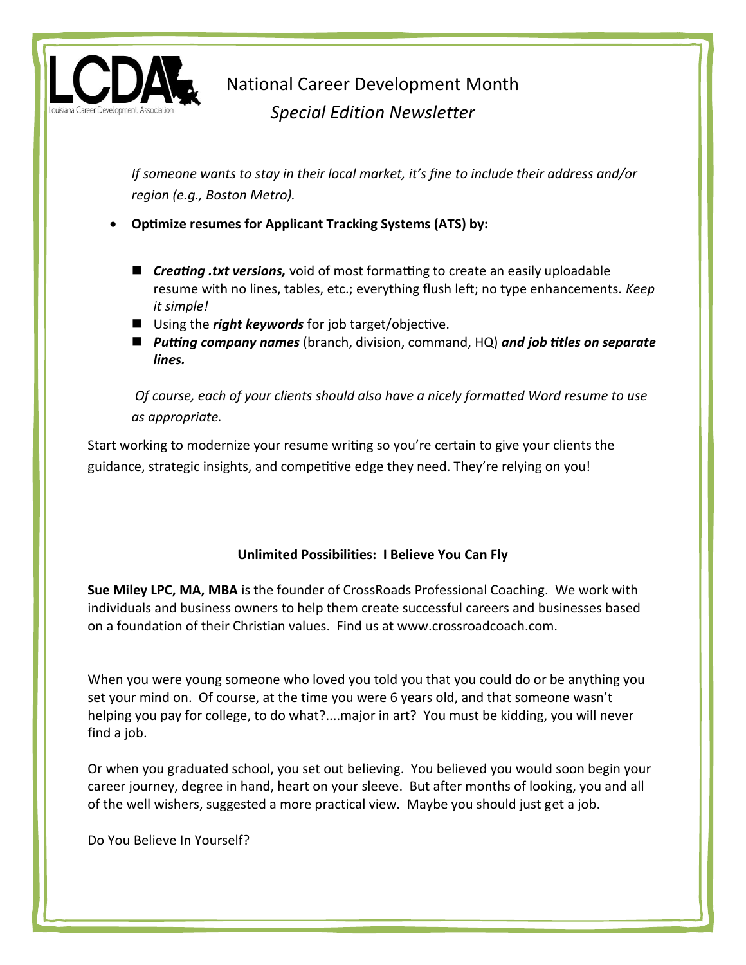

*If someone wants to stay in their local market, it's fine to include their address and/or region (e.g., Boston Metro).*

**Optimize resumes for Applicant Tracking Systems (ATS) by:**

- *Creating .txt versions,* void of most formatting to create an easily uploadable resume with no lines, tables, etc.; everything flush left; no type enhancements. *Keep it simple!*
- Using the *right keywords* for job target/objective.
- *Putting company names* (branch, division, command, HQ) *and job titles on separate lines.*

*Of course, each of your clients should also have a nicely formatted Word resume to use as appropriate.* 

Start working to modernize your resume writing so you're certain to give your clients the guidance, strategic insights, and competitive edge they need. They're relying on you!

### **Unlimited Possibilities: I Believe You Can Fly**

**Sue Miley LPC, MA, MBA** is the founder of CrossRoads Professional Coaching. We work with individuals and business owners to help them create successful careers and businesses based on a foundation of their Christian values. Find us at www.crossroadcoach.com.

When you were young someone who loved you told you that you could do or be anything you set your mind on. Of course, at the time you were 6 years old, and that someone wasn't helping you pay for college, to do what?....major in art? You must be kidding, you will never find a job.

Or when you graduated school, you set out believing. You believed you would soon begin your career journey, degree in hand, heart on your sleeve. But after months of looking, you and all of the well wishers, suggested a more practical view. Maybe you should just get a job.

Do You Believe In Yourself?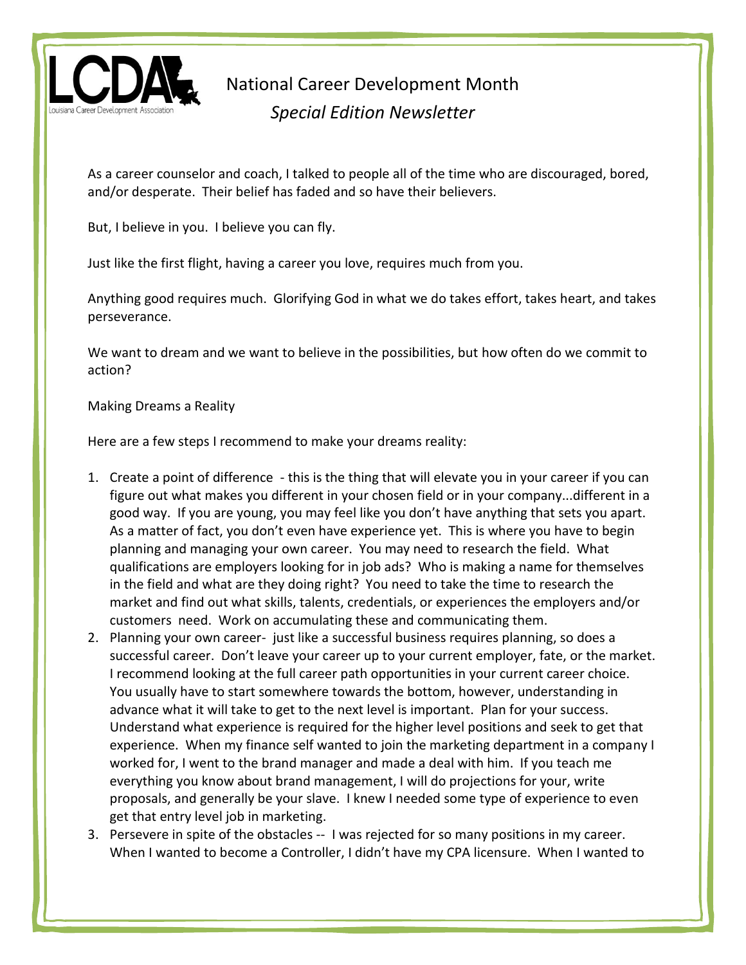

As a career counselor and coach, I talked to people all of the time who are discouraged, bored, and/or desperate. Their belief has faded and so have their believers.

But, I believe in you. I believe you can fly.

Just like the first flight, having a career you love, requires much from you.

Anything good requires much. Glorifying God in what we do takes effort, takes heart, and takes perseverance.

We want to dream and we want to believe in the possibilities, but how often do we commit to action?

Making Dreams a Reality

Here are a few steps I recommend to make your dreams reality:

- 1. Create a point of difference this is the thing that will elevate you in your career if you can figure out what makes you different in your chosen field or in your company...different in a good way. If you are young, you may feel like you don't have anything that sets you apart. As a matter of fact, you don't even have experience yet. This is where you have to begin planning and managing your own career. You may need to research the field. What qualifications are employers looking for in job ads? Who is making a name for themselves in the field and what are they doing right? You need to take the time to research the market and find out what skills, talents, credentials, or experiences the employers and/or customers need. Work on accumulating these and communicating them.
- 2. Planning your own career- just like a successful business requires planning, so does a successful career. Don't leave your career up to your current employer, fate, or the market. I recommend looking at the full career path opportunities in your current career choice. You usually have to start somewhere towards the bottom, however, understanding in advance what it will take to get to the next level is important. Plan for your success. Understand what experience is required for the higher level positions and seek to get that experience. When my finance self wanted to join the marketing department in a company I worked for, I went to the brand manager and made a deal with him. If you teach me everything you know about brand management, I will do projections for your, write proposals, and generally be your slave. I knew I needed some type of experience to even get that entry level job in marketing.
- 3. Persevere in spite of the obstacles -- I was rejected for so many positions in my career. When I wanted to become a Controller, I didn't have my CPA licensure. When I wanted to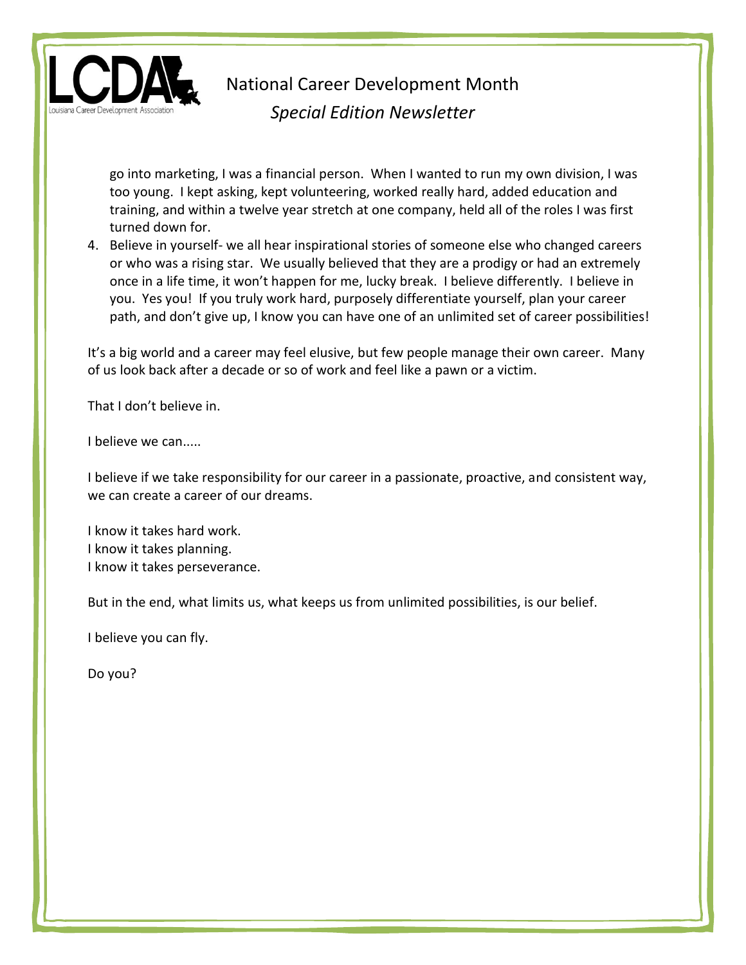

go into marketing, I was a financial person. When I wanted to run my own division, I was too young. I kept asking, kept volunteering, worked really hard, added education and training, and within a twelve year stretch at one company, held all of the roles I was first turned down for.

4. Believe in yourself- we all hear inspirational stories of someone else who changed careers or who was a rising star. We usually believed that they are a prodigy or had an extremely once in a life time, it won't happen for me, lucky break. I believe differently. I believe in you. Yes you! If you truly work hard, purposely differentiate yourself, plan your career path, and don't give up, I know you can have one of an unlimited set of career possibilities!

It's a big world and a career may feel elusive, but few people manage their own career. Many of us look back after a decade or so of work and feel like a pawn or a victim.

That I don't believe in.

I believe we can.....

I believe if we take responsibility for our career in a passionate, proactive, and consistent way, we can create a career of our dreams.

I know it takes hard work. I know it takes planning. I know it takes perseverance.

But in the end, what limits us, what keeps us from unlimited possibilities, is our belief.

I believe you can fly.

Do you?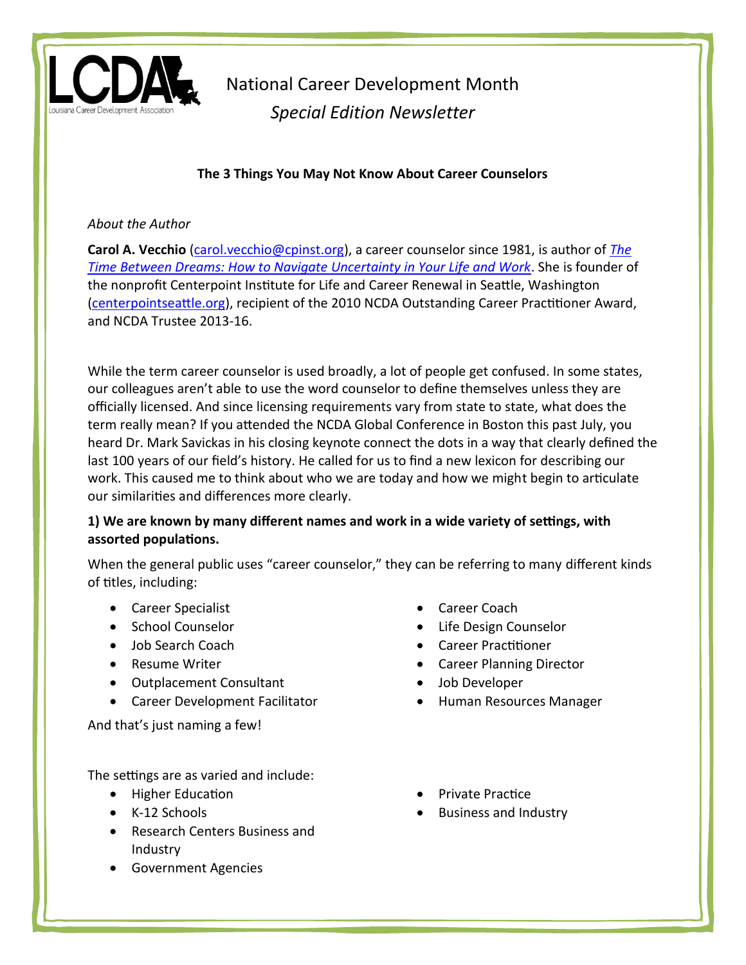

## **The 3 Things You May Not Know About Career Counselors**

#### *About the Author*

**Carol A. Vecchio** [\(carol.vecchio@cpinst.org\)](mailto:carol.vecchio@cpinst.org), a career counselor since 1981, is author of *[The](http://centerpointseattle.org/the-time-between-dreams/)  [Time Between Dreams: How to Navigate Uncertainty in Your Life and Work](http://centerpointseattle.org/the-time-between-dreams/)*. She is founder of the nonprofit Centerpoint Institute for Life and Career Renewal in Seattle, Washington [\(centerpointseattle.org\)](http://www.centerpointseattle.org/), recipient of the 2010 NCDA Outstanding Career Practitioner Award, and NCDA Trustee 2013-16.

While the term career counselor is used broadly, a lot of people get confused. In some states, our colleagues aren't able to use the word counselor to define themselves unless they are officially licensed. And since licensing requirements vary from state to state, what does the term really mean? If you attended the NCDA Global Conference in Boston this past July, you heard Dr. Mark Savickas in his closing keynote connect the dots in a way that clearly defined the last 100 years of our field's history. He called for us to find a new lexicon for describing our work. This caused me to think about who we are today and how we might begin to articulate our similarities and differences more clearly.

## **1) We are known by many different names and work in a wide variety of settings, with assorted populations.**

When the general public uses "career counselor," they can be referring to many different kinds of titles, including:

- Career Specialist
- School Counselor
- Job Search Coach
- Resume Writer
- Outplacement Consultant
- Career Development Facilitator

And that's just naming a few!

The settings are as varied and include:

- Higher Education
- K-12 Schools
- Research Centers Business and Industry
- Government Agencies
- Career Coach
- Life Design Counselor
- Career Practitioner
- Career Planning Director
- Job Developer
- Human Resources Manager
- Private Practice
- Business and Industry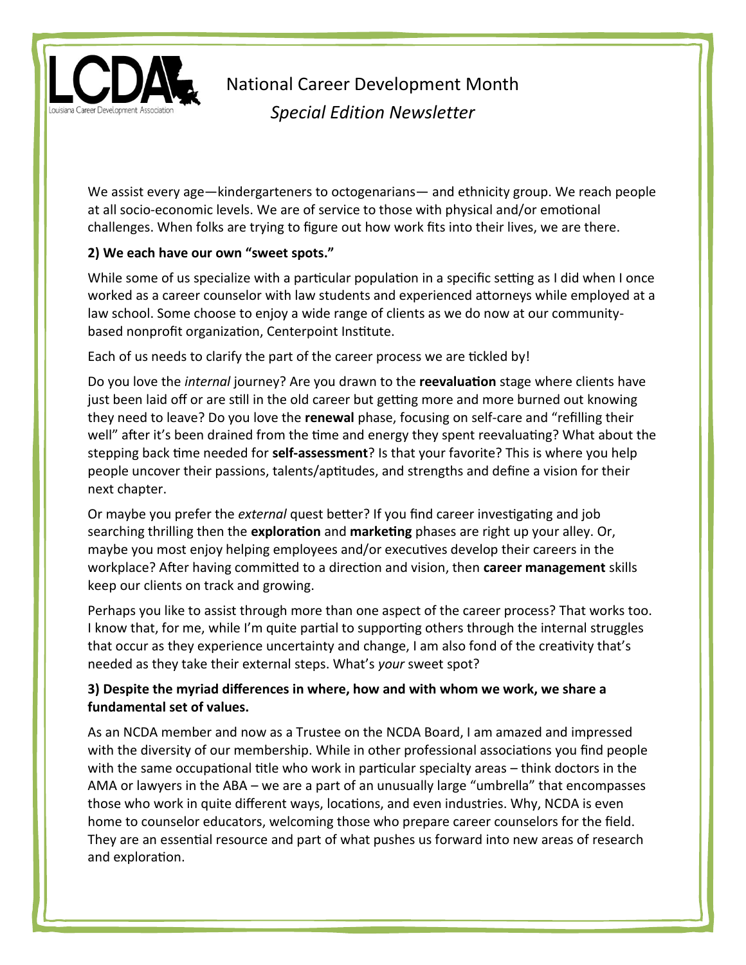

We assist every age—kindergarteners to octogenarians— and ethnicity group. We reach people at all socio-economic levels. We are of service to those with physical and/or emotional challenges. When folks are trying to figure out how work fits into their lives, we are there.

### **2) We each have our own "sweet spots."**

While some of us specialize with a particular population in a specific setting as I did when I once worked as a career counselor with law students and experienced attorneys while employed at a law school. Some choose to enjoy a wide range of clients as we do now at our communitybased nonprofit organization, Centerpoint Institute.

Each of us needs to clarify the part of the career process we are tickled by!

Do you love the *internal* journey? Are you drawn to the **reevaluation** stage where clients have just been laid off or are still in the old career but getting more and more burned out knowing they need to leave? Do you love the **renewal** phase, focusing on self-care and "refilling their well" after it's been drained from the time and energy they spent reevaluating? What about the stepping back time needed for **self-assessment**? Is that your favorite? This is where you help people uncover their passions, talents/aptitudes, and strengths and define a vision for their next chapter.

Or maybe you prefer the *external* quest better? If you find career investigating and job searching thrilling then the **exploration** and **marketing** phases are right up your alley. Or, maybe you most enjoy helping employees and/or executives develop their careers in the workplace? After having committed to a direction and vision, then **career management** skills keep our clients on track and growing.

Perhaps you like to assist through more than one aspect of the career process? That works too. I know that, for me, while I'm quite partial to supporting others through the internal struggles that occur as they experience uncertainty and change, I am also fond of the creativity that's needed as they take their external steps. What's *your* sweet spot?

## **3) Despite the myriad differences in where, how and with whom we work, we share a fundamental set of values.**

As an NCDA member and now as a Trustee on the NCDA Board, I am amazed and impressed with the diversity of our membership. While in other professional associations you find people with the same occupational title who work in particular specialty areas – think doctors in the AMA or lawyers in the ABA – we are a part of an unusually large "umbrella" that encompasses those who work in quite different ways, locations, and even industries. Why, NCDA is even home to counselor educators, welcoming those who prepare career counselors for the field. They are an essential resource and part of what pushes us forward into new areas of research and exploration.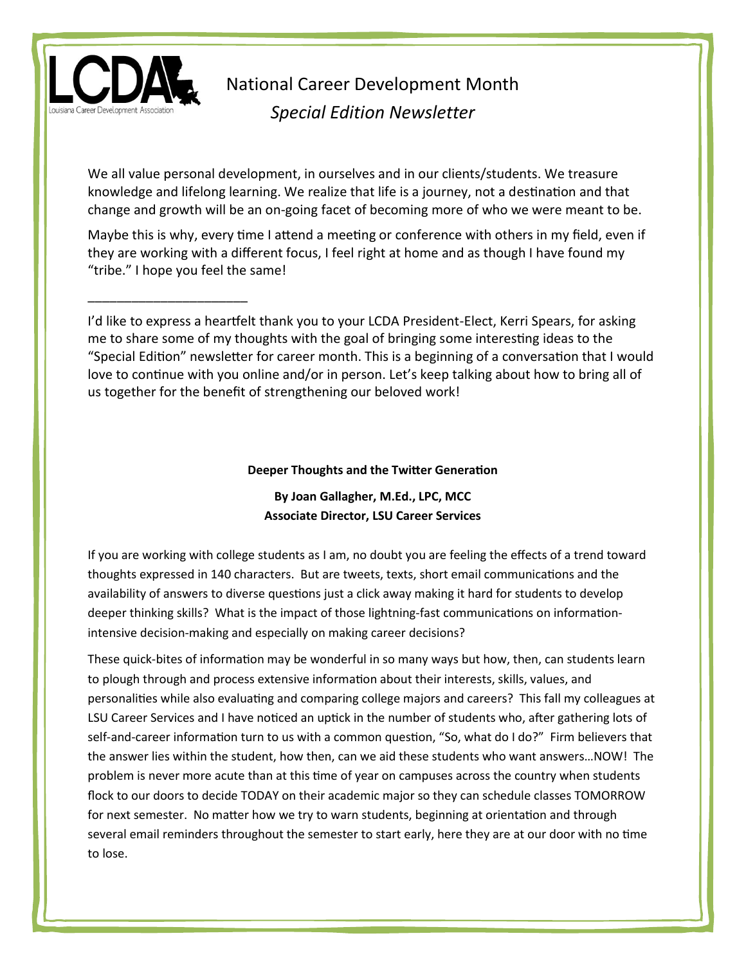

\_\_\_\_\_\_\_\_\_\_\_\_\_\_\_\_\_\_\_\_\_\_

National Career Development Month *Special Edition Newsletter*

We all value personal development, in ourselves and in our clients/students. We treasure knowledge and lifelong learning. We realize that life is a journey, not a destination and that change and growth will be an on-going facet of becoming more of who we were meant to be.

Maybe this is why, every time I attend a meeting or conference with others in my field, even if they are working with a different focus, I feel right at home and as though I have found my "tribe." I hope you feel the same!

I'd like to express a heartfelt thank you to your LCDA President-Elect, Kerri Spears, for asking me to share some of my thoughts with the goal of bringing some interesting ideas to the "Special Edition" newsletter for career month. This is a beginning of a conversation that I would love to continue with you online and/or in person. Let's keep talking about how to bring all of us together for the benefit of strengthening our beloved work!

#### **Deeper Thoughts and the Twitter Generation**

**By Joan Gallagher, M.Ed., LPC, MCC Associate Director, LSU Career Services**

If you are working with college students as I am, no doubt you are feeling the effects of a trend toward thoughts expressed in 140 characters. But are tweets, texts, short email communications and the availability of answers to diverse questions just a click away making it hard for students to develop deeper thinking skills? What is the impact of those lightning-fast communications on informationintensive decision-making and especially on making career decisions?

These quick-bites of information may be wonderful in so many ways but how, then, can students learn to plough through and process extensive information about their interests, skills, values, and personalities while also evaluating and comparing college majors and careers? This fall my colleagues at LSU Career Services and I have noticed an uptick in the number of students who, after gathering lots of self-and-career information turn to us with a common question, "So, what do I do?" Firm believers that the answer lies within the student, how then, can we aid these students who want answers…NOW! The problem is never more acute than at this time of year on campuses across the country when students flock to our doors to decide TODAY on their academic major so they can schedule classes TOMORROW for next semester. No matter how we try to warn students, beginning at orientation and through several email reminders throughout the semester to start early, here they are at our door with no time to lose.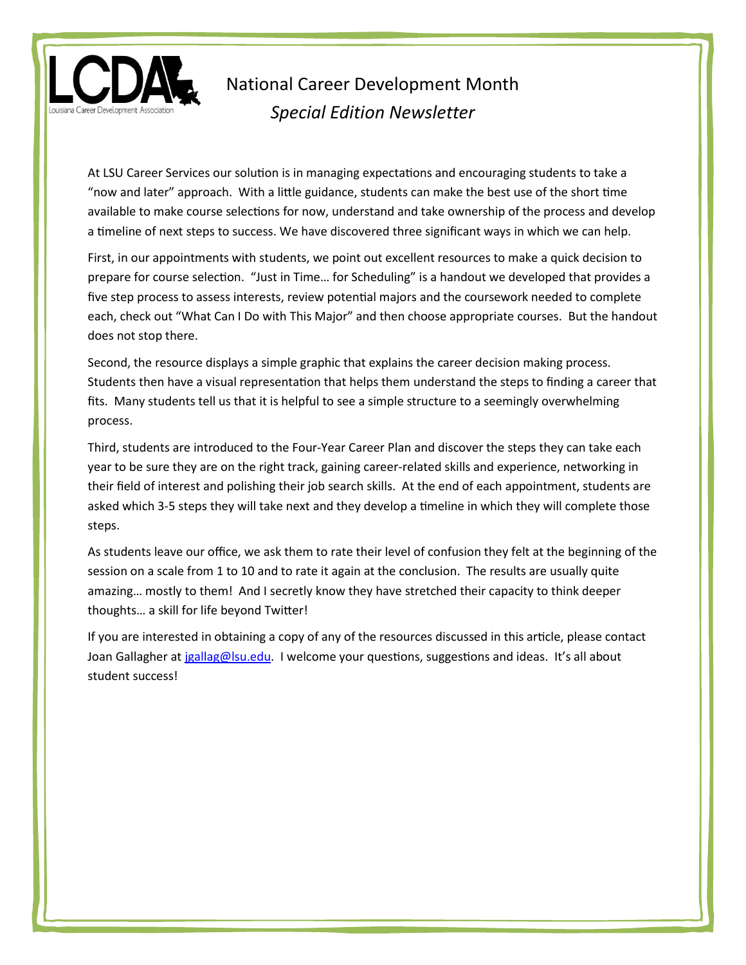

At LSU Career Services our solution is in managing expectations and encouraging students to take a "now and later" approach. With a little guidance, students can make the best use of the short time available to make course selections for now, understand and take ownership of the process and develop a timeline of next steps to success. We have discovered three significant ways in which we can help.

First, in our appointments with students, we point out excellent resources to make a quick decision to prepare for course selection. "Just in Time… for Scheduling" is a handout we developed that provides a five step process to assess interests, review potential majors and the coursework needed to complete each, check out "What Can I Do with This Major" and then choose appropriate courses. But the handout does not stop there.

Second, the resource displays a simple graphic that explains the career decision making process. Students then have a visual representation that helps them understand the steps to finding a career that fits. Many students tell us that it is helpful to see a simple structure to a seemingly overwhelming process.

Third, students are introduced to the Four-Year Career Plan and discover the steps they can take each year to be sure they are on the right track, gaining career-related skills and experience, networking in their field of interest and polishing their job search skills. At the end of each appointment, students are asked which 3-5 steps they will take next and they develop a timeline in which they will complete those steps.

As students leave our office, we ask them to rate their level of confusion they felt at the beginning of the session on a scale from 1 to 10 and to rate it again at the conclusion. The results are usually quite amazing… mostly to them! And I secretly know they have stretched their capacity to think deeper thoughts… a skill for life beyond Twitter!

If you are interested in obtaining a copy of any of the resources discussed in this article, please contact Joan Gallagher a[t jgallag@lsu.edu.](mailto:jgallag@lsu.edu) I welcome your questions, suggestions and ideas. It's all about student success!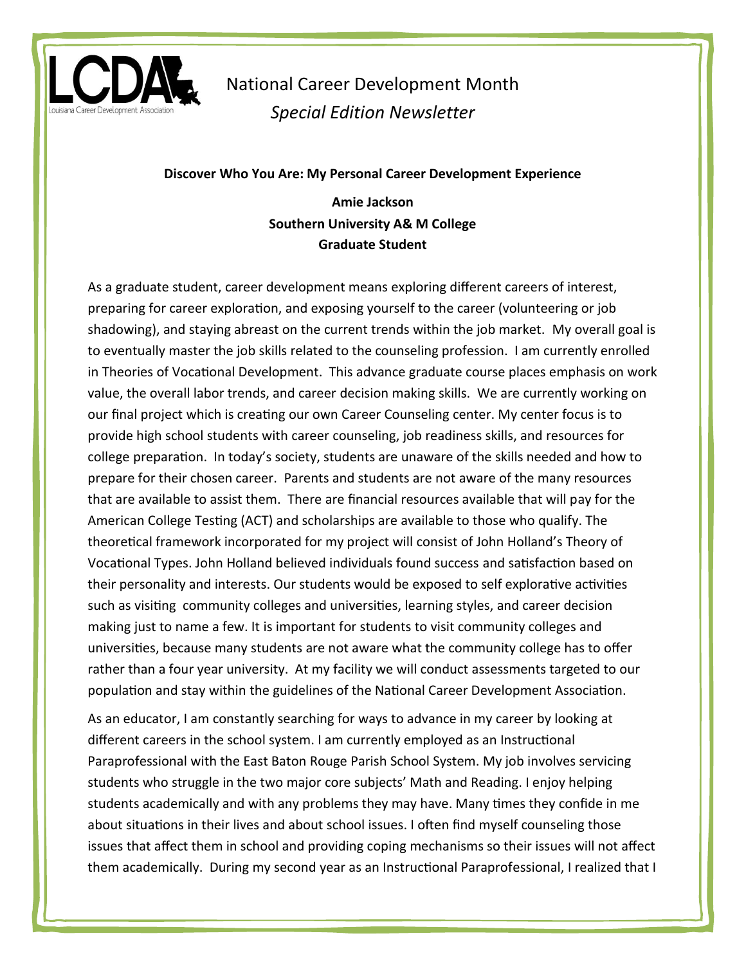

#### **Discover Who You Are: My Personal Career Development Experience**

## **Amie Jackson Southern University A& M College Graduate Student**

As a graduate student, career development means exploring different careers of interest, preparing for career exploration, and exposing yourself to the career (volunteering or job shadowing), and staying abreast on the current trends within the job market. My overall goal is to eventually master the job skills related to the counseling profession. I am currently enrolled in Theories of Vocational Development. This advance graduate course places emphasis on work value, the overall labor trends, and career decision making skills. We are currently working on our final project which is creating our own Career Counseling center. My center focus is to provide high school students with career counseling, job readiness skills, and resources for college preparation. In today's society, students are unaware of the skills needed and how to prepare for their chosen career. Parents and students are not aware of the many resources that are available to assist them. There are financial resources available that will pay for the American College Testing (ACT) and scholarships are available to those who qualify. The theoretical framework incorporated for my project will consist of John Holland's Theory of Vocational Types. John Holland believed individuals found success and satisfaction based on their personality and interests. Our students would be exposed to self explorative activities such as visiting community colleges and universities, learning styles, and career decision making just to name a few. It is important for students to visit community colleges and universities, because many students are not aware what the community college has to offer rather than a four year university. At my facility we will conduct assessments targeted to our population and stay within the guidelines of the National Career Development Association.

As an educator, I am constantly searching for ways to advance in my career by looking at different careers in the school system. I am currently employed as an Instructional Paraprofessional with the East Baton Rouge Parish School System. My job involves servicing students who struggle in the two major core subjects' Math and Reading. I enjoy helping students academically and with any problems they may have. Many times they confide in me about situations in their lives and about school issues. I often find myself counseling those issues that affect them in school and providing coping mechanisms so their issues will not affect them academically. During my second year as an Instructional Paraprofessional, I realized that I